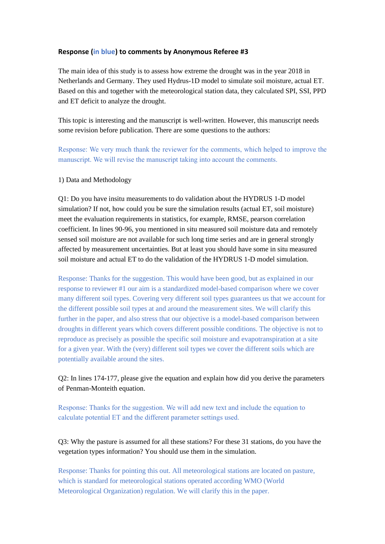## **Response (in blue) to comments by Anonymous Referee #3**

The main idea of this study is to assess how extreme the drought was in the year 2018 in Netherlands and Germany. They used Hydrus-1D model to simulate soil moisture, actual ET. Based on this and together with the meteorological station data, they calculated SPI, SSI, PPD and ET deficit to analyze the drought.

This topic is interesting and the manuscript is well-written. However, this manuscript needs some revision before publication. There are some questions to the authors:

Response: We very much thank the reviewer for the comments, which helped to improve the manuscript. We will revise the manuscript taking into account the comments.

## 1) Data and Methodology

Q1: Do you have insitu measurements to do validation about the HYDRUS 1-D model simulation? If not, how could you be sure the simulation results (actual ET, soil moisture) meet the evaluation requirements in statistics, for example, RMSE, pearson correlation coefficient. In lines 90-96, you mentioned in situ measured soil moisture data and remotely sensed soil moisture are not available for such long time series and are in general strongly affected by measurement uncertainties. But at least you should have some in situ measured soil moisture and actual ET to do the validation of the HYDRUS 1-D model simulation.

Response: Thanks for the suggestion. This would have been good, but as explained in our response to reviewer #1 our aim is a standardized model-based comparison where we cover many different soil types. Covering very different soil types guarantees us that we account for the different possible soil types at and around the measurement sites. We will clarify this further in the paper, and also stress that our objective is a model-based comparison between droughts in different years which covers different possible conditions. The objective is not to reproduce as precisely as possible the specific soil moisture and evapotranspiration at a site for a given year. With the (very) different soil types we cover the different soils which are potentially available around the sites.

Q2: In lines 174-177, please give the equation and explain how did you derive the parameters of Penman-Monteith equation.

Response: Thanks for the suggestion. We will add new text and include the equation to calculate potential ET and the different parameter settings used.

Q3: Why the pasture is assumed for all these stations? For these 31 stations, do you have the vegetation types information? You should use them in the simulation.

Response: Thanks for pointing this out. All meteorological stations are located on pasture, which is standard for meteorological stations operated according WMO (World Meteorological Organization) regulation. We will clarify this in the paper.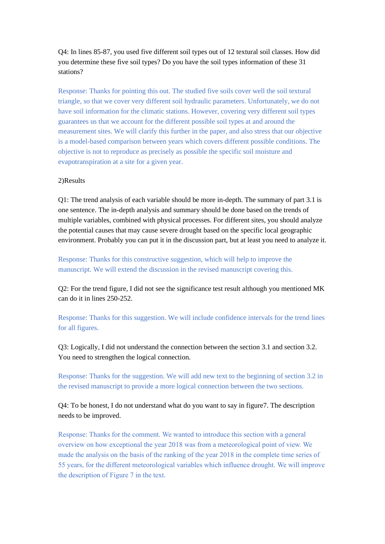Q4: In lines 85-87, you used five different soil types out of 12 textural soil classes. How did you determine these five soil types? Do you have the soil types information of these 31 stations?

Response: Thanks for pointing this out. The studied five soils cover well the soil textural triangle, so that we cover very different soil hydraulic parameters. Unfortunately, we do not have soil information for the climatic stations. However, covering very different soil types guarantees us that we account for the different possible soil types at and around the measurement sites. We will clarify this further in the paper, and also stress that our objective is a model-based comparison between years which covers different possible conditions. The objective is not to reproduce as precisely as possible the specific soil moisture and evapotranspiration at a site for a given year.

## 2)Results

Q1: The trend analysis of each variable should be more in-depth. The summary of part 3.1 is one sentence. The in-depth analysis and summary should be done based on the trends of multiple variables, combined with physical processes. For different sites, you should analyze the potential causes that may cause severe drought based on the specific local geographic environment. Probably you can put it in the discussion part, but at least you need to analyze it.

Response: Thanks for this constructive suggestion, which will help to improve the manuscript. We will extend the discussion in the revised manuscript covering this.

Q2: For the trend figure, I did not see the significance test result although you mentioned MK can do it in lines 250-252.

Response: Thanks for this suggestion. We will include confidence intervals for the trend lines for all figures.

Q3: Logically, I did not understand the connection between the section 3.1 and section 3.2. You need to strengthen the logical connection.

Response: Thanks for the suggestion. We will add new text to the beginning of section 3.2 in the revised manuscript to provide a more logical connection between the two sections.

Q4: To be honest, I do not understand what do you want to say in figure7. The description needs to be improved.

Response: Thanks for the comment. We wanted to introduce this section with a general overview on how exceptional the year 2018 was from a meteorological point of view. We made the analysis on the basis of the ranking of the year 2018 in the complete time series of 55 years, for the different meteorological variables which influence drought. We will improve the description of Figure 7 in the text.